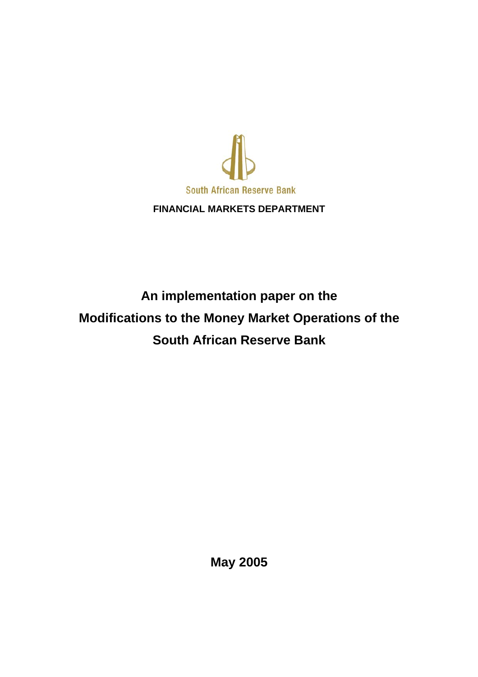

## **FINANCIAL MARKETS DEPARTMENT**

# **An implementation paper on the Modifications to the Money Market Operations of the South African Reserve Bank**

**May 2005**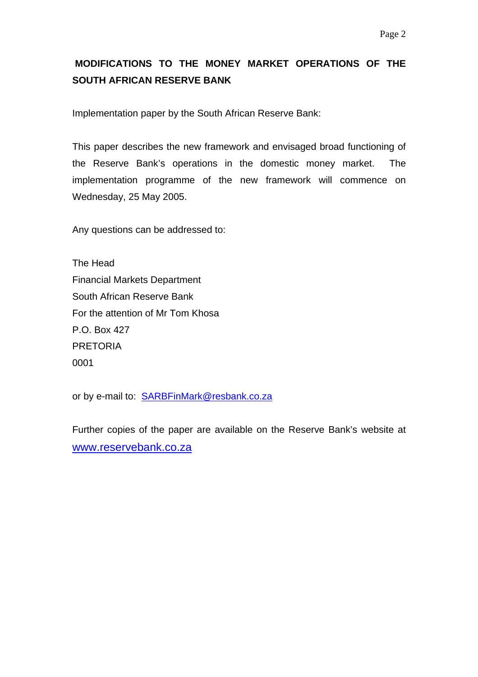# **MODIFICATIONS TO THE MONEY MARKET OPERATIONS OF THE SOUTH AFRICAN RESERVE BANK**

Implementation paper by the South African Reserve Bank:

This paper describes the new framework and envisaged broad functioning of the Reserve Bank's operations in the domestic money market. The implementation programme of the new framework will commence on Wednesday, 25 May 2005.

Any questions can be addressed to:

The Head Financial Markets Department South African Reserve Bank For the attention of Mr Tom Khosa P.O. Box 427 PRETORIA 0001

or by e-mail to: SARBFinMark@resbank.co.za

Further copies of the paper are available on the Reserve Bank's website at [www.reservebank.co.za](http://www.reservebank.co.za/)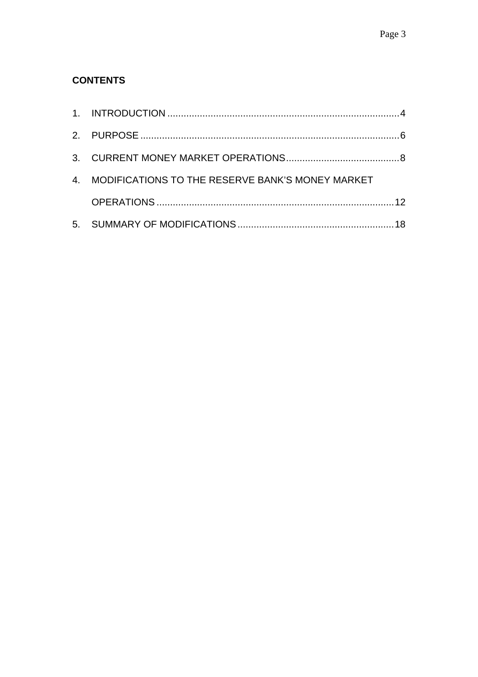# **CONTENTS**

| 4. MODIFICATIONS TO THE RESERVE BANK'S MONEY MARKET |  |
|-----------------------------------------------------|--|
|                                                     |  |
|                                                     |  |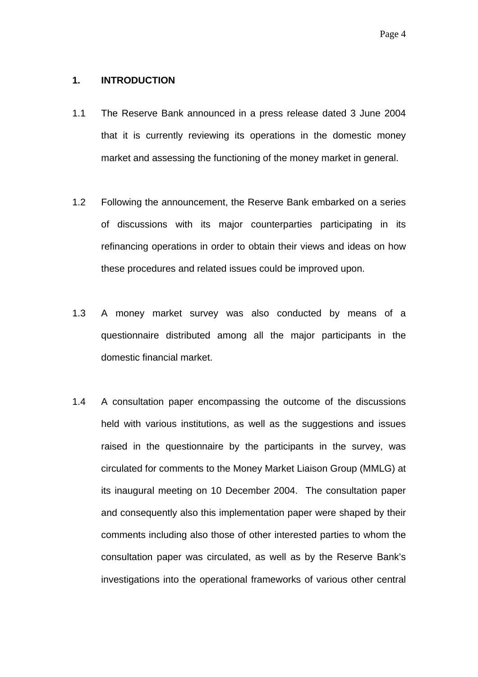#### <span id="page-3-0"></span>**1. INTRODUCTION**

- 1.1 The Reserve Bank announced in a press release dated 3 June 2004 that it is currently reviewing its operations in the domestic money market and assessing the functioning of the money market in general.
- 1.2 Following the announcement, the Reserve Bank embarked on a series of discussions with its major counterparties participating in its refinancing operations in order to obtain their views and ideas on how these procedures and related issues could be improved upon.
- 1.3 A money market survey was also conducted by means of a questionnaire distributed among all the major participants in the domestic financial market.
- 1.4 A consultation paper encompassing the outcome of the discussions held with various institutions, as well as the suggestions and issues raised in the questionnaire by the participants in the survey, was circulated for comments to the Money Market Liaison Group (MMLG) at its inaugural meeting on 10 December 2004. The consultation paper and consequently also this implementation paper were shaped by their comments including also those of other interested parties to whom the consultation paper was circulated, as well as by the Reserve Bank's investigations into the operational frameworks of various other central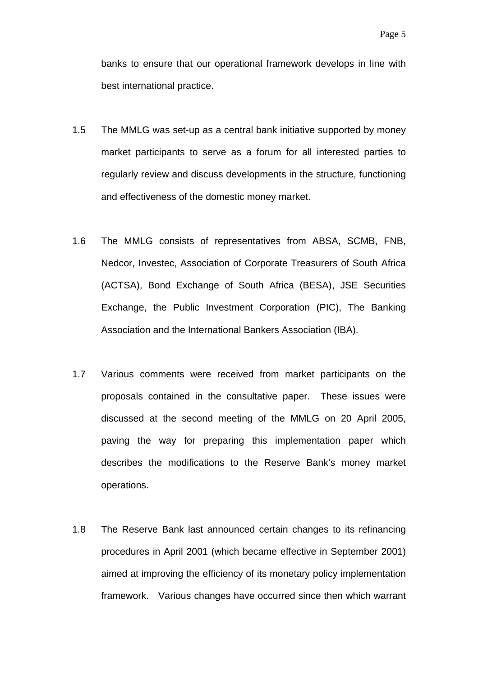banks to ensure that our operational framework develops in line with best international practice.

- 1.5 The MMLG was set-up as a central bank initiative supported by money market participants to serve as a forum for all interested parties to regularly review and discuss developments in the structure, functioning and effectiveness of the domestic money market.
- 1.6 The MMLG consists of representatives from ABSA, SCMB, FNB, Nedcor, Investec, Association of Corporate Treasurers of South Africa (ACTSA), Bond Exchange of South Africa (BESA), JSE Securities Exchange, the Public Investment Corporation (PIC), The Banking Association and the International Bankers Association (IBA).
- 1.7 Various comments were received from market participants on the proposals contained in the consultative paper. These issues were discussed at the second meeting of the MMLG on 20 April 2005, paving the way for preparing this implementation paper which describes the modifications to the Reserve Bank's money market operations.
- 1.8 The Reserve Bank last announced certain changes to its refinancing procedures in April 2001 (which became effective in September 2001) aimed at improving the efficiency of its monetary policy implementation framework. Various changes have occurred since then which warrant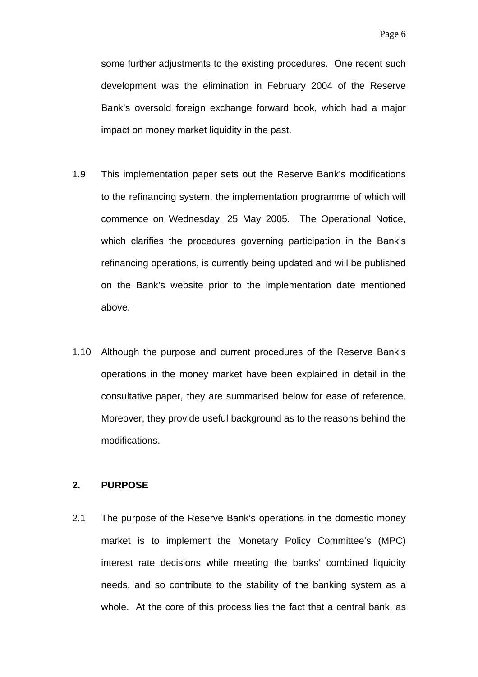<span id="page-5-0"></span>some further adjustments to the existing procedures. One recent such development was the elimination in February 2004 of the Reserve Bank's oversold foreign exchange forward book, which had a major impact on money market liquidity in the past.

- 1.9 This implementation paper sets out the Reserve Bank's modifications to the refinancing system, the implementation programme of which will commence on Wednesday, 25 May 2005. The Operational Notice, which clarifies the procedures governing participation in the Bank's refinancing operations, is currently being updated and will be published on the Bank's website prior to the implementation date mentioned above.
- 1.10 Although the purpose and current procedures of the Reserve Bank's operations in the money market have been explained in detail in the consultative paper, they are summarised below for ease of reference. Moreover, they provide useful background as to the reasons behind the modifications.

#### **2. PURPOSE**

2.1 The purpose of the Reserve Bank's operations in the domestic money market is to implement the Monetary Policy Committee's (MPC) interest rate decisions while meeting the banks' combined liquidity needs, and so contribute to the stability of the banking system as a whole. At the core of this process lies the fact that a central bank, as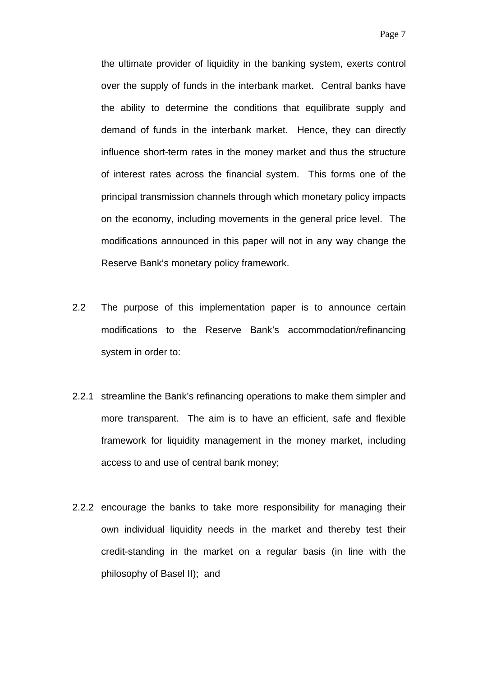the ultimate provider of liquidity in the banking system, exerts control over the supply of funds in the interbank market. Central banks have the ability to determine the conditions that equilibrate supply and demand of funds in the interbank market. Hence, they can directly influence short-term rates in the money market and thus the structure of interest rates across the financial system. This forms one of the principal transmission channels through which monetary policy impacts on the economy, including movements in the general price level. The modifications announced in this paper will not in any way change the Reserve Bank's monetary policy framework.

- 2.2 The purpose of this implementation paper is to announce certain modifications to the Reserve Bank's accommodation/refinancing system in order to:
- 2.2.1 streamline the Bank's refinancing operations to make them simpler and more transparent. The aim is to have an efficient, safe and flexible framework for liquidity management in the money market, including access to and use of central bank money;
- 2.2.2 encourage the banks to take more responsibility for managing their own individual liquidity needs in the market and thereby test their credit-standing in the market on a regular basis (in line with the philosophy of Basel II); and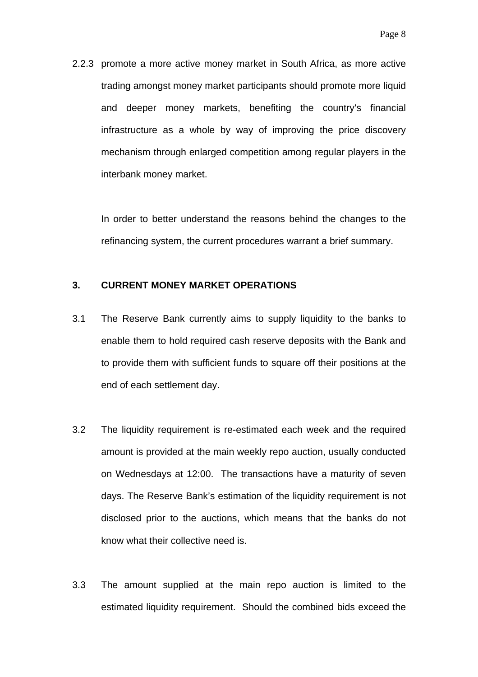<span id="page-7-0"></span>2.2.3 promote a more active money market in South Africa, as more active trading amongst money market participants should promote more liquid and deeper money markets, benefiting the country's financial infrastructure as a whole by way of improving the price discovery mechanism through enlarged competition among regular players in the interbank money market.

In order to better understand the reasons behind the changes to the refinancing system, the current procedures warrant a brief summary.

## **3. CURRENT MONEY MARKET OPERATIONS**

- 3.1 The Reserve Bank currently aims to supply liquidity to the banks to enable them to hold required cash reserve deposits with the Bank and to provide them with sufficient funds to square off their positions at the end of each settlement day.
- 3.2 The liquidity requirement is re-estimated each week and the required amount is provided at the main weekly repo auction, usually conducted on Wednesdays at 12:00. The transactions have a maturity of seven days. The Reserve Bank's estimation of the liquidity requirement is not disclosed prior to the auctions, which means that the banks do not know what their collective need is.
- 3.3 The amount supplied at the main repo auction is limited to the estimated liquidity requirement. Should the combined bids exceed the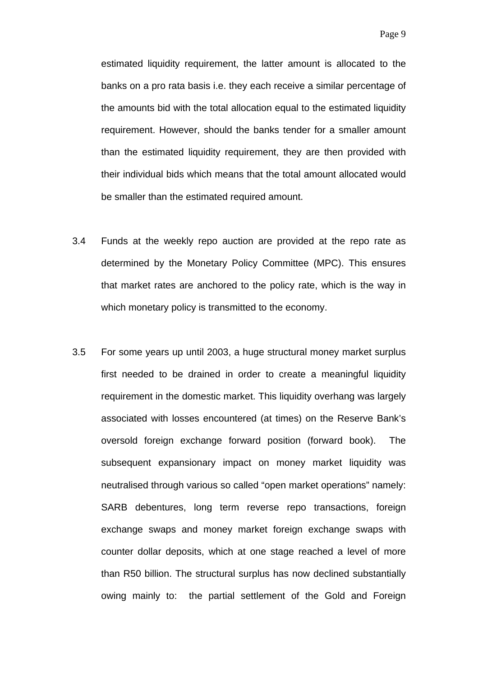estimated liquidity requirement, the latter amount is allocated to the banks on a pro rata basis i.e. they each receive a similar percentage of the amounts bid with the total allocation equal to the estimated liquidity requirement. However, should the banks tender for a smaller amount than the estimated liquidity requirement, they are then provided with their individual bids which means that the total amount allocated would be smaller than the estimated required amount.

- 3.4 Funds at the weekly repo auction are provided at the repo rate as determined by the Monetary Policy Committee (MPC). This ensures that market rates are anchored to the policy rate, which is the way in which monetary policy is transmitted to the economy.
- 3.5 For some years up until 2003, a huge structural money market surplus first needed to be drained in order to create a meaningful liquidity requirement in the domestic market. This liquidity overhang was largely associated with losses encountered (at times) on the Reserve Bank's oversold foreign exchange forward position (forward book). The subsequent expansionary impact on money market liquidity was neutralised through various so called "open market operations" namely: SARB debentures, long term reverse repo transactions, foreign exchange swaps and money market foreign exchange swaps with counter dollar deposits, which at one stage reached a level of more than R50 billion. The structural surplus has now declined substantially owing mainly to: the partial settlement of the Gold and Foreign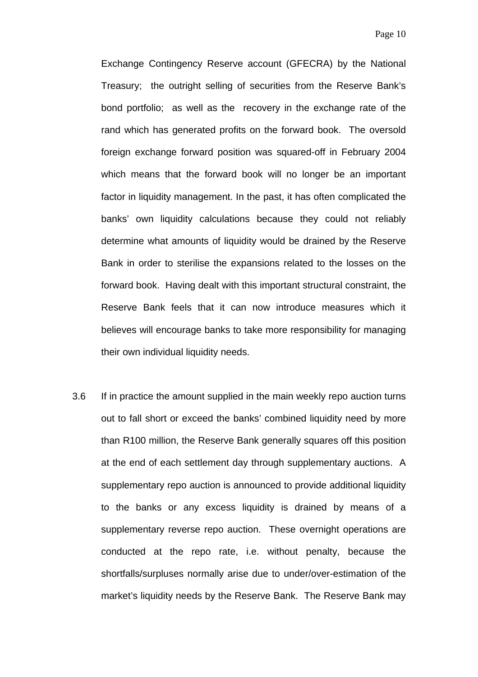Exchange Contingency Reserve account (GFECRA) by the National Treasury; the outright selling of securities from the Reserve Bank's bond portfolio; as well as the recovery in the exchange rate of the rand which has generated profits on the forward book. The oversold foreign exchange forward position was squared-off in February 2004 which means that the forward book will no longer be an important factor in liquidity management. In the past, it has often complicated the banks' own liquidity calculations because they could not reliably determine what amounts of liquidity would be drained by the Reserve Bank in order to sterilise the expansions related to the losses on the forward book. Having dealt with this important structural constraint, the Reserve Bank feels that it can now introduce measures which it believes will encourage banks to take more responsibility for managing their own individual liquidity needs.

3.6 If in practice the amount supplied in the main weekly repo auction turns out to fall short or exceed the banks' combined liquidity need by more than R100 million, the Reserve Bank generally squares off this position at the end of each settlement day through supplementary auctions. A supplementary repo auction is announced to provide additional liquidity to the banks or any excess liquidity is drained by means of a supplementary reverse repo auction. These overnight operations are conducted at the repo rate, i.e. without penalty, because the shortfalls/surpluses normally arise due to under/over-estimation of the market's liquidity needs by the Reserve Bank. The Reserve Bank may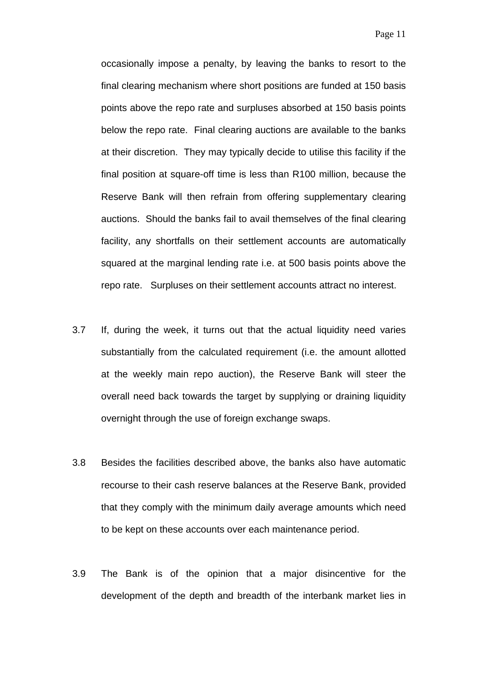occasionally impose a penalty, by leaving the banks to resort to the final clearing mechanism where short positions are funded at 150 basis points above the repo rate and surpluses absorbed at 150 basis points below the repo rate. Final clearing auctions are available to the banks at their discretion. They may typically decide to utilise this facility if the final position at square-off time is less than R100 million, because the Reserve Bank will then refrain from offering supplementary clearing auctions. Should the banks fail to avail themselves of the final clearing facility, any shortfalls on their settlement accounts are automatically squared at the marginal lending rate i.e. at 500 basis points above the repo rate. Surpluses on their settlement accounts attract no interest.

- 3.7 If, during the week, it turns out that the actual liquidity need varies substantially from the calculated requirement (i.e. the amount allotted at the weekly main repo auction), the Reserve Bank will steer the overall need back towards the target by supplying or draining liquidity overnight through the use of foreign exchange swaps.
- 3.8 Besides the facilities described above, the banks also have automatic recourse to their cash reserve balances at the Reserve Bank, provided that they comply with the minimum daily average amounts which need to be kept on these accounts over each maintenance period.
- 3.9 The Bank is of the opinion that a major disincentive for the development of the depth and breadth of the interbank market lies in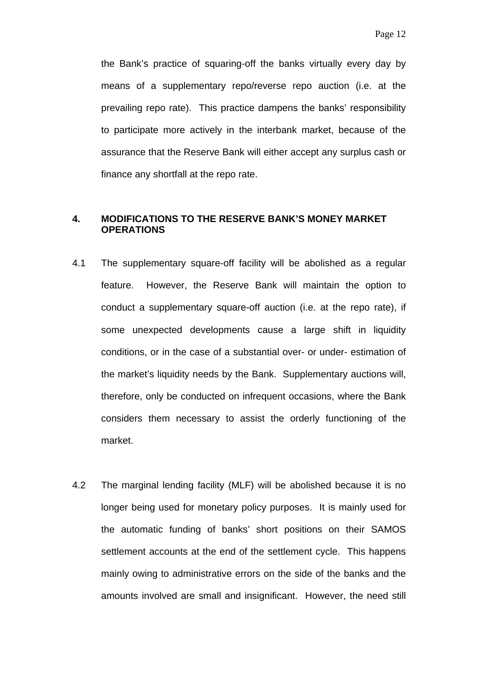<span id="page-11-0"></span>the Bank's practice of squaring-off the banks virtually every day by means of a supplementary repo/reverse repo auction (i.e. at the prevailing repo rate). This practice dampens the banks' responsibility to participate more actively in the interbank market, because of the assurance that the Reserve Bank will either accept any surplus cash or finance any shortfall at the repo rate.

## **4. MODIFICATIONS TO THE RESERVE BANK'S MONEY MARKET OPERATIONS**

- 4.1 The supplementary square-off facility will be abolished as a regular feature. However, the Reserve Bank will maintain the option to conduct a supplementary square-off auction (i.e. at the repo rate), if some unexpected developments cause a large shift in liquidity conditions, or in the case of a substantial over- or under- estimation of the market's liquidity needs by the Bank. Supplementary auctions will, therefore, only be conducted on infrequent occasions, where the Bank considers them necessary to assist the orderly functioning of the market.
- 4.2 The marginal lending facility (MLF) will be abolished because it is no longer being used for monetary policy purposes. It is mainly used for the automatic funding of banks' short positions on their SAMOS settlement accounts at the end of the settlement cycle. This happens mainly owing to administrative errors on the side of the banks and the amounts involved are small and insignificant. However, the need still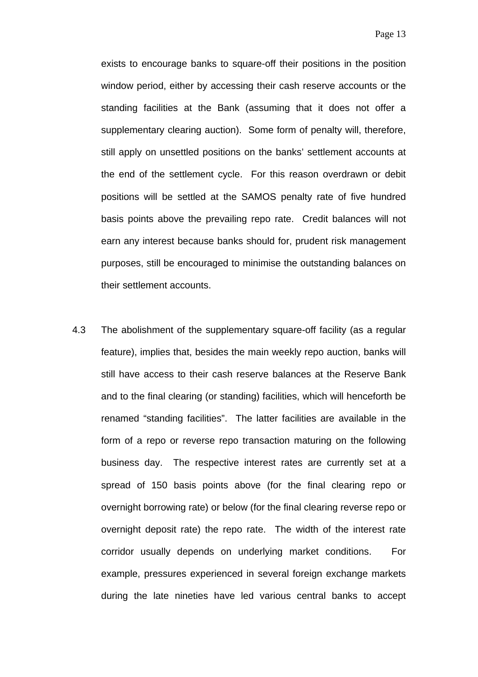exists to encourage banks to square-off their positions in the position window period, either by accessing their cash reserve accounts or the standing facilities at the Bank (assuming that it does not offer a supplementary clearing auction). Some form of penalty will, therefore, still apply on unsettled positions on the banks' settlement accounts at the end of the settlement cycle. For this reason overdrawn or debit positions will be settled at the SAMOS penalty rate of five hundred basis points above the prevailing repo rate. Credit balances will not earn any interest because banks should for, prudent risk management purposes, still be encouraged to minimise the outstanding balances on their settlement accounts.

4.3 The abolishment of the supplementary square-off facility (as a regular feature), implies that, besides the main weekly repo auction, banks will still have access to their cash reserve balances at the Reserve Bank and to the final clearing (or standing) facilities, which will henceforth be renamed "standing facilities". The latter facilities are available in the form of a repo or reverse repo transaction maturing on the following business day. The respective interest rates are currently set at a spread of 150 basis points above (for the final clearing repo or overnight borrowing rate) or below (for the final clearing reverse repo or overnight deposit rate) the repo rate. The width of the interest rate corridor usually depends on underlying market conditions. For example, pressures experienced in several foreign exchange markets during the late nineties have led various central banks to accept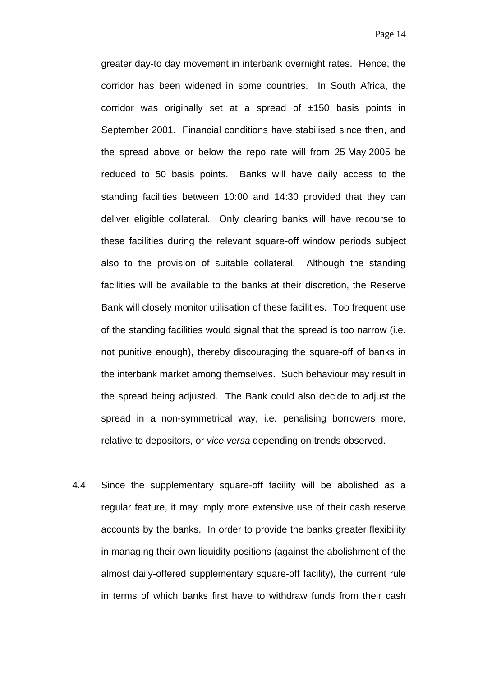greater day-to day movement in interbank overnight rates. Hence, the corridor has been widened in some countries. In South Africa, the corridor was originally set at a spread of  $\pm 150$  basis points in September 2001. Financial conditions have stabilised since then, and the spread above or below the repo rate will from 25 May 2005 be reduced to 50 basis points. Banks will have daily access to the standing facilities between 10:00 and 14:30 provided that they can deliver eligible collateral. Only clearing banks will have recourse to these facilities during the relevant square-off window periods subject also to the provision of suitable collateral. Although the standing facilities will be available to the banks at their discretion, the Reserve Bank will closely monitor utilisation of these facilities. Too frequent use of the standing facilities would signal that the spread is too narrow (i.e. not punitive enough), thereby discouraging the square-off of banks in the interbank market among themselves. Such behaviour may result in the spread being adjusted. The Bank could also decide to adjust the spread in a non-symmetrical way, i.e. penalising borrowers more, relative to depositors, or *vice versa* depending on trends observed.

4.4 Since the supplementary square-off facility will be abolished as a regular feature, it may imply more extensive use of their cash reserve accounts by the banks. In order to provide the banks greater flexibility in managing their own liquidity positions (against the abolishment of the almost daily-offered supplementary square-off facility), the current rule in terms of which banks first have to withdraw funds from their cash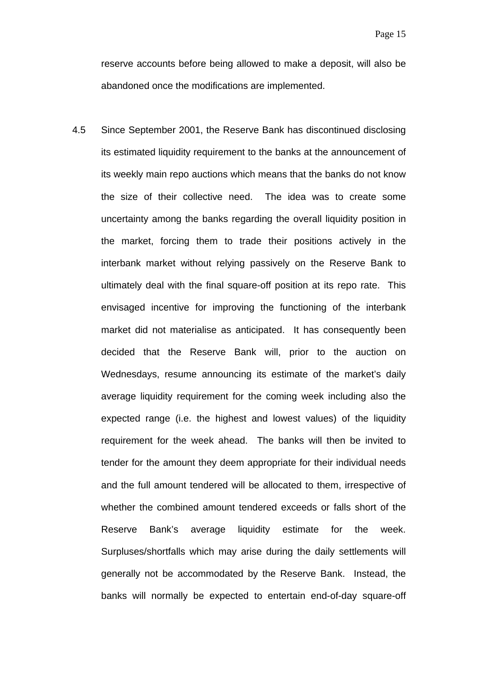reserve accounts before being allowed to make a deposit, will also be abandoned once the modifications are implemented.

4.5 Since September 2001, the Reserve Bank has discontinued disclosing its estimated liquidity requirement to the banks at the announcement of its weekly main repo auctions which means that the banks do not know the size of their collective need. The idea was to create some uncertainty among the banks regarding the overall liquidity position in the market, forcing them to trade their positions actively in the interbank market without relying passively on the Reserve Bank to ultimately deal with the final square-off position at its repo rate. This envisaged incentive for improving the functioning of the interbank market did not materialise as anticipated. It has consequently been decided that the Reserve Bank will, prior to the auction on Wednesdays, resume announcing its estimate of the market's daily average liquidity requirement for the coming week including also the expected range (i.e. the highest and lowest values) of the liquidity requirement for the week ahead. The banks will then be invited to tender for the amount they deem appropriate for their individual needs and the full amount tendered will be allocated to them, irrespective of whether the combined amount tendered exceeds or falls short of the Reserve Bank's average liquidity estimate for the week. Surpluses/shortfalls which may arise during the daily settlements will generally not be accommodated by the Reserve Bank. Instead, the banks will normally be expected to entertain end-of-day square-off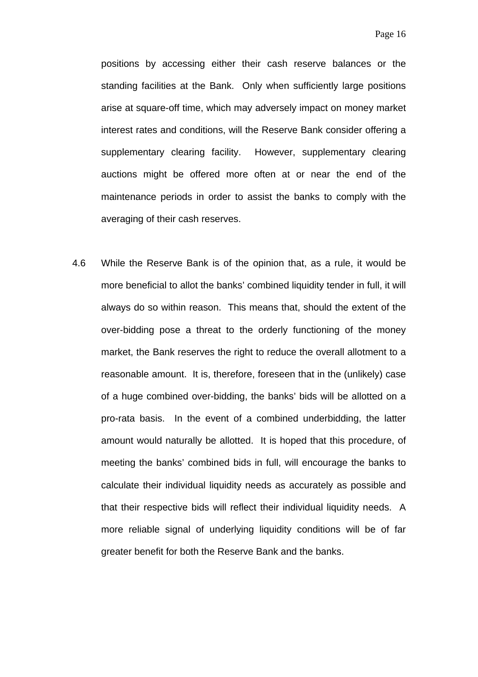positions by accessing either their cash reserve balances or the standing facilities at the Bank. Only when sufficiently large positions arise at square-off time, which may adversely impact on money market interest rates and conditions, will the Reserve Bank consider offering a supplementary clearing facility. However, supplementary clearing auctions might be offered more often at or near the end of the maintenance periods in order to assist the banks to comply with the averaging of their cash reserves.

4.6 While the Reserve Bank is of the opinion that, as a rule, it would be more beneficial to allot the banks' combined liquidity tender in full, it will always do so within reason. This means that, should the extent of the over-bidding pose a threat to the orderly functioning of the money market, the Bank reserves the right to reduce the overall allotment to a reasonable amount. It is, therefore, foreseen that in the (unlikely) case of a huge combined over-bidding, the banks' bids will be allotted on a pro-rata basis. In the event of a combined underbidding, the latter amount would naturally be allotted. It is hoped that this procedure, of meeting the banks' combined bids in full, will encourage the banks to calculate their individual liquidity needs as accurately as possible and that their respective bids will reflect their individual liquidity needs. A more reliable signal of underlying liquidity conditions will be of far greater benefit for both the Reserve Bank and the banks.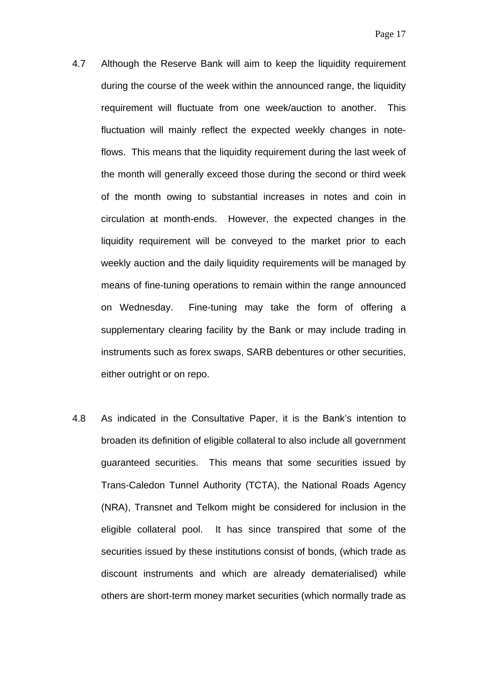- 4.7 Although the Reserve Bank will aim to keep the liquidity requirement during the course of the week within the announced range, the liquidity requirement will fluctuate from one week/auction to another. This fluctuation will mainly reflect the expected weekly changes in noteflows. This means that the liquidity requirement during the last week of the month will generally exceed those during the second or third week of the month owing to substantial increases in notes and coin in circulation at month-ends. However, the expected changes in the liquidity requirement will be conveyed to the market prior to each weekly auction and the daily liquidity requirements will be managed by means of fine-tuning operations to remain within the range announced on Wednesday. Fine-tuning may take the form of offering a supplementary clearing facility by the Bank or may include trading in instruments such as forex swaps, SARB debentures or other securities, either outright or on repo.
- 4.8 As indicated in the Consultative Paper, it is the Bank's intention to broaden its definition of eligible collateral to also include all government guaranteed securities. This means that some securities issued by Trans-Caledon Tunnel Authority (TCTA), the National Roads Agency (NRA), Transnet and Telkom might be considered for inclusion in the eligible collateral pool. It has since transpired that some of the securities issued by these institutions consist of bonds, (which trade as discount instruments and which are already dematerialised) while others are short-term money market securities (which normally trade as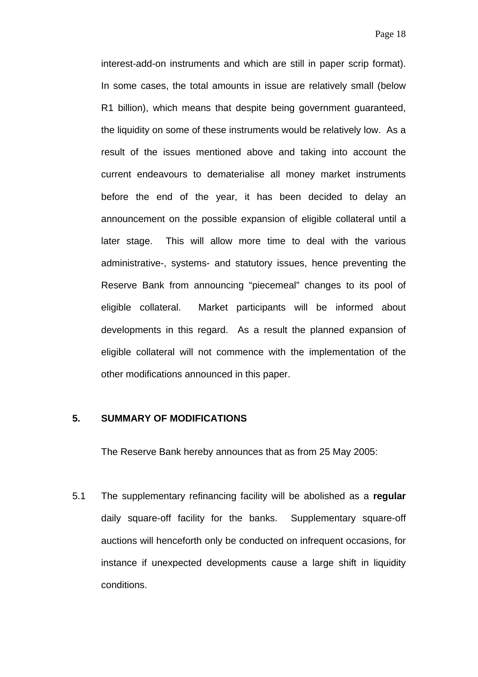<span id="page-17-0"></span>interest-add-on instruments and which are still in paper scrip format). In some cases, the total amounts in issue are relatively small (below R1 billion), which means that despite being government guaranteed, the liquidity on some of these instruments would be relatively low. As a result of the issues mentioned above and taking into account the current endeavours to dematerialise all money market instruments before the end of the year, it has been decided to delay an announcement on the possible expansion of eligible collateral until a later stage. This will allow more time to deal with the various administrative-, systems- and statutory issues, hence preventing the Reserve Bank from announcing "piecemeal" changes to its pool of eligible collateral. Market participants will be informed about developments in this regard. As a result the planned expansion of eligible collateral will not commence with the implementation of the other modifications announced in this paper.

## **5. SUMMARY OF MODIFICATIONS**

The Reserve Bank hereby announces that as from 25 May 2005:

5.1 The supplementary refinancing facility will be abolished as a **regular** daily square-off facility for the banks. Supplementary square-off auctions will henceforth only be conducted on infrequent occasions, for instance if unexpected developments cause a large shift in liquidity conditions.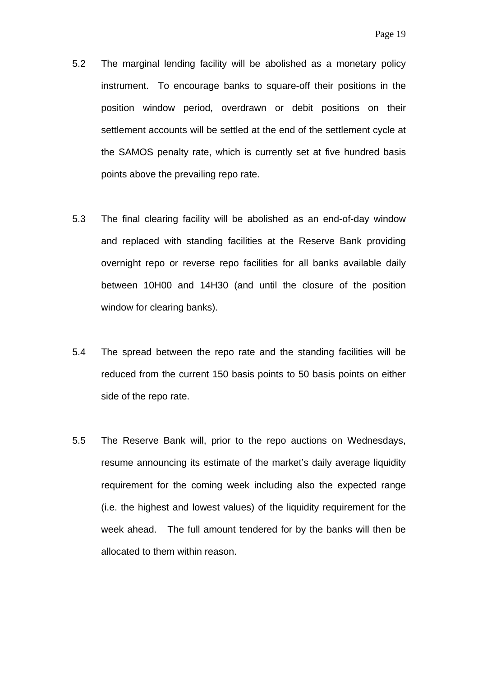- 5.2 The marginal lending facility will be abolished as a monetary policy instrument. To encourage banks to square-off their positions in the position window period, overdrawn or debit positions on their settlement accounts will be settled at the end of the settlement cycle at the SAMOS penalty rate, which is currently set at five hundred basis points above the prevailing repo rate.
- 5.3 The final clearing facility will be abolished as an end-of-day window and replaced with standing facilities at the Reserve Bank providing overnight repo or reverse repo facilities for all banks available daily between 10H00 and 14H30 (and until the closure of the position window for clearing banks).
- 5.4 The spread between the repo rate and the standing facilities will be reduced from the current 150 basis points to 50 basis points on either side of the repo rate.
- 5.5 The Reserve Bank will, prior to the repo auctions on Wednesdays, resume announcing its estimate of the market's daily average liquidity requirement for the coming week including also the expected range (i.e. the highest and lowest values) of the liquidity requirement for the week ahead. The full amount tendered for by the banks will then be allocated to them within reason.